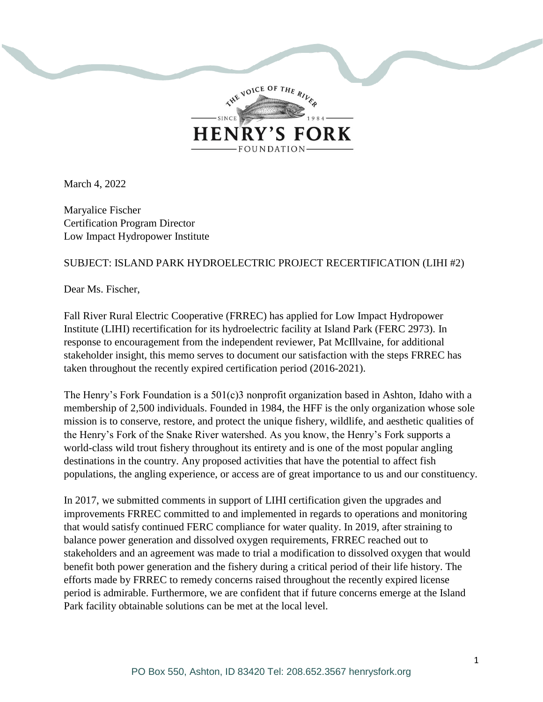

March 4, 2022

Maryalice Fischer Certification Program Director Low Impact Hydropower Institute

## SUBJECT: ISLAND PARK HYDROELECTRIC PROJECT RECERTIFICATION (LIHI #2)

Dear Ms. Fischer,

Fall River Rural Electric Cooperative (FRREC) has applied for Low Impact Hydropower Institute (LIHI) recertification for its hydroelectric facility at Island Park (FERC 2973). In response to encouragement from the independent reviewer, Pat McIllvaine, for additional stakeholder insight, this memo serves to document our satisfaction with the steps FRREC has taken throughout the recently expired certification period (2016-2021).

The Henry's Fork Foundation is a 501(c)3 nonprofit organization based in Ashton, Idaho with a membership of 2,500 individuals. Founded in 1984, the HFF is the only organization whose sole mission is to conserve, restore, and protect the unique fishery, wildlife, and aesthetic qualities of the Henry's Fork of the Snake River watershed. As you know, the Henry's Fork supports a world-class wild trout fishery throughout its entirety and is one of the most popular angling destinations in the country. Any proposed activities that have the potential to affect fish populations, the angling experience, or access are of great importance to us and our constituency.

In 2017, we submitted comments in support of LIHI certification given the upgrades and improvements FRREC committed to and implemented in regards to operations and monitoring that would satisfy continued FERC compliance for water quality. In 2019, after straining to balance power generation and dissolved oxygen requirements, FRREC reached out to stakeholders and an agreement was made to trial a modification to dissolved oxygen that would benefit both power generation and the fishery during a critical period of their life history. The efforts made by FRREC to remedy concerns raised throughout the recently expired license period is admirable. Furthermore, we are confident that if future concerns emerge at the Island Park facility obtainable solutions can be met at the local level.